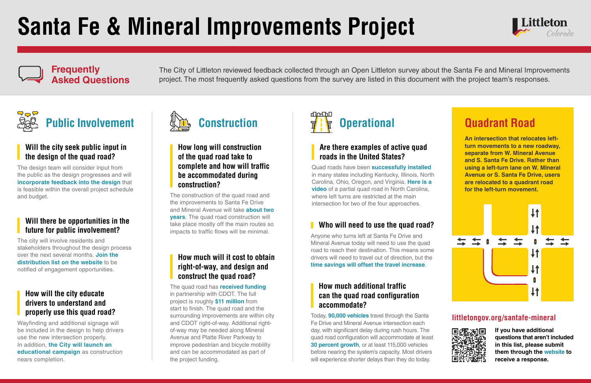# **Santa Fe & Mineral Improvements Project**



#### **Will the city seek public input in the design of the quad road?**

The design team will consider input from the public as the design progresses and will **incorporate feedback into the design** that is feasible within the overall project schedule and budget.

#### **Frequently Asked Questions**

The City of Littleton reviewed feedback collected through an Open Littleton survey about the Santa Fe and Mineral Improvements project. The most frequently asked questions from the survey are listed in this document with the project team's responses.



**If you have additional questions that aren't included in this list, please submit them through the [website](https://www.littletongov.org/Home/Components/News/News/12219/1046) to receive a response.**

## **Public Involvement**

#### **Will there be opportunities in the future for public involvement?**

The city will involve residents and stakeholders throughout the design process over the next several months. **[Join the](https://www.littletongov.org/Home/Components/News/News/12219/1046) [distribution list on the website](https://www.littletongov.org/Home/Components/News/News/12219/1046)** to be notified of engagement opportunities.

#### **How will the city educate drivers to understand and properly use this quad road?**

Wayfinding and additional signage will be included in the design to help drivers use the new intersection properly. In addition, **the City will launch an educational campaign** as construction nears completion.

#### **How long will construction of the quad road take to complete and how will traffic be accommodated during construction?**

The construction of the quad road and the improvements to Santa Fe Drive and Mineral Avenue will take **about two years**. The quad road construction will take place mostly off the main routes so impacts to traffic flows will be minimal.



#### **How much will it cost to obtain right-of-way, and design and construct the quad road?**

The quad road has **received funding** in partnership with CDOT. The full project is roughly **\$11 million** from start to finish. The quad road and the surrounding improvements are within city and CDOT right-of-way. Additional rightof-way may be needed along Mineral Avenue and Platte River Parkway to improve pedestrian and bicycle mobility and can be accommodated as part of the project funding.

### **Quadrant Road**

**An intersection that relocates leftturn movements to a new roadway, separate from W. Mineral Avenue and S. Santa Fe Drive. Rather than using a left-turn lane on W. Mineral Avenue or S. Santa Fe Drive, users are relocated to a quadrant road for the left-turn movement.**



#### **Are there examples of active quad roads in the United States?**

Quad roads have been **successfully installed** in many states including Kentucky, Illinois, North Carolina, Ohio, Oregon, and Virginia. **[Here is a](https://www.youtube.com/watch?v=P5xlq_ZcB-8)  [video](https://www.youtube.com/watch?v=P5xlq_ZcB-8)** of a partial quad road in North Carolina, where left turns are restricted at the main intersection for two of the four approaches.



#### **Who will need to use the quad road?**

Anyone who turns left at Santa Fe Drive and Mineral Avenue today will need to use the quad road to reach their destination. This means some drivers will need to travel out of direction, but the **time savings will offset the travel increase**.

#### **How much additional traffic can the quad road configuration accommodate?**

Today, **90,000 vehicles** travel through the Santa Fe Drive and Mineral Avenue intersection each day, with significant delay during rush hours. The quad road configuration will accommodate at least **30 percent growth**, or at least 115,000 vehicles before nearing the system's capacity. Most drivers will experience shorter delays than they do today.



#### **littletongov.org/santafe-mineral**